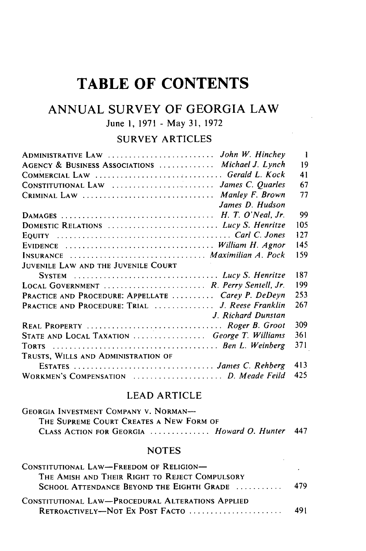# **TABLE OF CONTENTS**

## **ANNUAL** SURVEY OF **GEORGIA** LAW

## June **1, 1971 -** May **31, 1972**

### SURVEY ARTICLES

 $\sim$ 

| ADMINISTRATIVE LAW  John W. Hinchey                | $\mathbf{1}$ |
|----------------------------------------------------|--------------|
| AGENCY & BUSINESS ASSOCIATIONS  Michael J. Lynch   | 19           |
| COMMERCIAL LAW  Gerald L. Kock                     | 41           |
| CONSTITUTIONAL LAW  James C. Quarles               | 67           |
| CRIMINAL LAW  Manley F. Brown                      | 77           |
| James D. Hudson                                    |              |
|                                                    | 99           |
| DOMESTIC RELATIONS  Lucy S. Henritze               | 105          |
|                                                    | 127          |
|                                                    | 145          |
| INSURANCE  Maximilian A. Pock                      | 159          |
| JUVENILE LAW AND THE JUVENILE COURT                |              |
|                                                    | 187          |
| LOCAL GOVERNMENT  R. Perry Sentell, Jr.            | 199          |
| PRACTICE AND PROCEDURE: APPELLATE  Carey P. DeDeyn | 253          |
| PRACTICE AND PROCEDURE: TRIAL  J. Reese Franklin   | 267          |
| J. Richard Dunstan                                 |              |
| REAL PROPERTY  Roger B. Groot                      | 309          |
| STATE AND LOCAL TAXATION  George T. Williams       | 361          |
|                                                    | 371          |
| TRUSTS, WILLS AND ADMINISTRATION OF                |              |
| ESTATES  James C. Rehberg                          | 413          |
| WORKMEN'S COMPENSATION  D. Meade Feild             | 425          |

#### LEAD ARTICLE

| GEORGIA INVESTMENT COMPANY V. NORMAN-          |  |
|------------------------------------------------|--|
| THE SUPREME COURT CREATES A NEW FORM OF        |  |
| CLASS ACTION FOR GEORGIA  Howard O. Hunter 447 |  |

#### **NOTES**

| CONSTITUTIONAL LAW-FREEDOM OF RELIGION-                     |      |
|-------------------------------------------------------------|------|
| THE AMISH AND THEIR RIGHT TO REJECT COMPULSORY              |      |
| SCHOOL ATTENDANCE BEYOND THE EIGHTH GRADE $\dots\dots\dots$ | -479 |
| CONSTITUTIONAL LAW-PROCEDURAL ALTERATIONS APPLIED           |      |
| RETROACTIVELY-NOT EX POST FACTO                             | 491  |